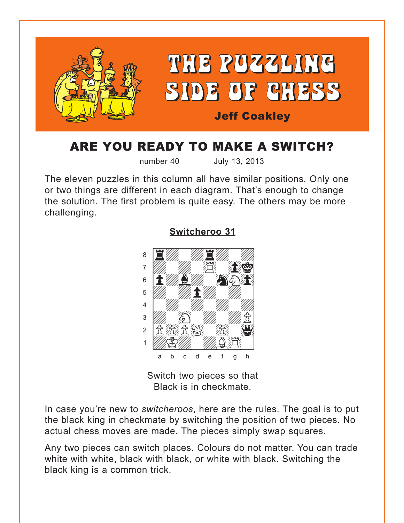<span id="page-0-0"></span>

# ARE YOU READY TO MAKE A SWITCH?

number 40 July 13, 2013

The eleven puzzles in this column all have similar positions*.* Only one or two things are different in each diagram. That's enough to change the solution. The first problem is quite easy. The others may be more challenging.



**[Switcheroo 31](#page-6-0)**

Switch two pieces so that Black is in checkmate.

In case you're new to *switcheroos*, here are the rules. The goal is to put the black king in checkmate by switching the position of two pieces. No actual chess moves are made. The pieces simply swap squares.

Any two pieces can switch places. Colours do not matter. You can trade white with white, black with black, or white with black. Switching the black king is a common trick.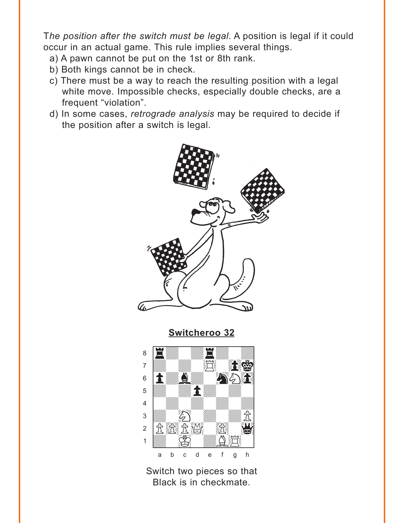<span id="page-1-0"></span>T*he position after the switch must be legal*. A position is legal if it could occur in an actual game. This rule implies several things.

- a) A pawn cannot be put on the 1st or 8th rank.
- b) Both kings cannot be in check.
- c) There must be a way to reach the resulting position with a legal white move. Impossible checks, especially double checks, are a frequent "violation".
- d) In some cases, *retrograde analysis* may be required to decide if the position after a switch is legal.



**[Switcheroo 32](#page-7-0)**



Switch two pieces so that Black is in checkmate.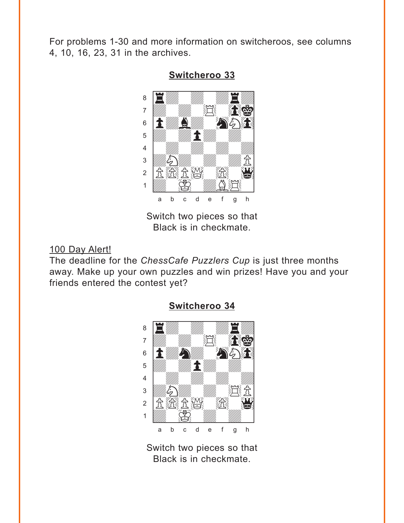<span id="page-2-0"></span>For problems 1-30 and more information on switcheroos, see columns 4, 10, 16, 23, 31 in the archives.



**[Switcheroo 33](#page-7-0)**

Switch two pieces so that Black is in checkmate.

### 100 Day Alert!

The deadline for the *ChessCafe Puzzlers Cup* is just three months away. Make up your own puzzles and win prizes! Have you and your friends entered the contest yet?



### **[Switcheroo 34](#page-8-0)**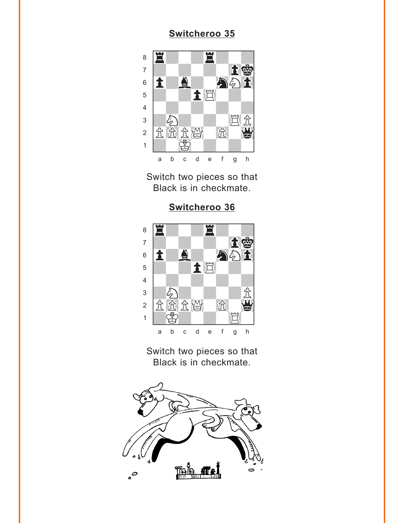<span id="page-3-0"></span>

Switch two pieces so that Black is in checkmate.

### **[Switcheroo 36](#page-9-0)**



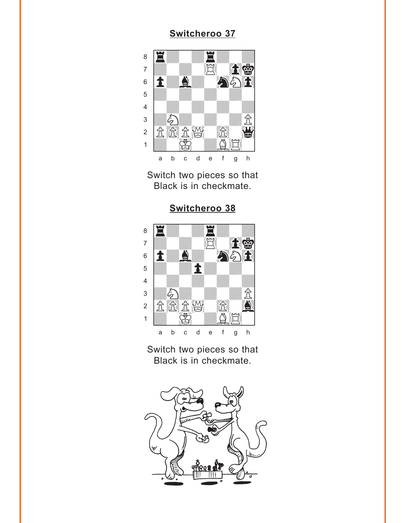<span id="page-4-0"></span>

Switch two pieces so that Black is in checkmate.





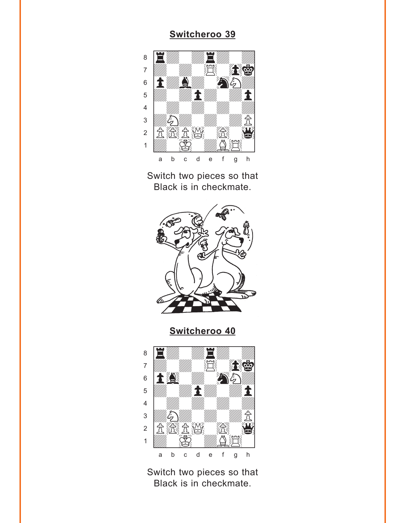<span id="page-5-0"></span>

Switch two pieces so that Black is in checkmate.



**[Switcheroo 40](#page-11-0)**

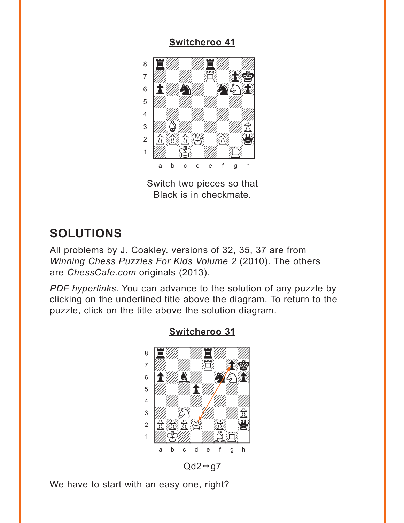<span id="page-6-0"></span>

Switch two pieces so that Black is in checkmate.

## **SOLUTIONS**

All problems by J. Coakley. versions of 32, 35, 37 are from *Winning Chess Puzzles For Kids Volume 2* (2010). The others are *ChessCafe.com* originals (2013).

*PDF hyperlinks*. You can advance to the solution of any puzzle by clicking on the underlined title above the diagram. To return to the puzzle, click on the title above the solution diagram.



### **[Switcheroo 31](#page-0-0)**

 $Qd2 \leftrightarrow g7$ 

We have to start with an easy one, right?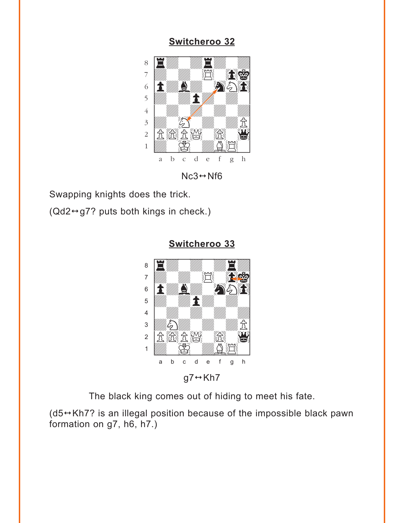### <span id="page-7-0"></span>**[Switcheroo 32](#page-1-0)** where  $\frac{1}{2}$  and  $\frac{1}{2}$  and  $\frac{1}{2}$  and  $\frac{1}{2}$  and  $\frac{1}{2}$  and  $\frac{1}{2}$



 $Nc3 \leftrightarrow Nf6$ 

Swapping knights does the trick.

 $(Qd2 \leftrightarrow g7$ ? puts both kings in check.)



**[Switcheroo 33](#page-2-0)**

The black king comes out of hiding to meet his fate.

 $(d5 \leftrightarrow Kh7$ ? is an illegal position because of the impossible black pawn formation on g7, h6, h7.)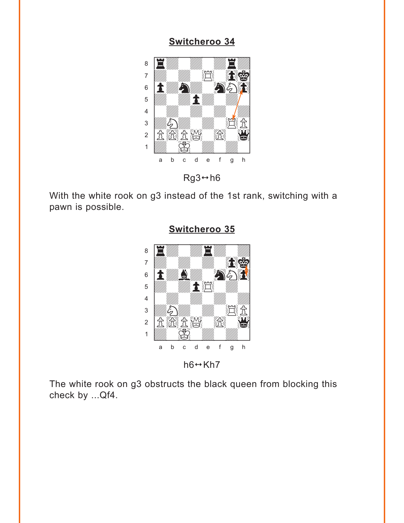<span id="page-8-0"></span>

 $Rg3 \leftrightarrow h6$ 

With the white rook on g3 instead of the 1st rank, switching with a pawn is possible.



**[Switcheroo 35](#page-3-0)**

 $h6 \leftrightarrow Kh7$ 

The white rook on g3 obstructs the black queen from blocking this check by ...Qf4.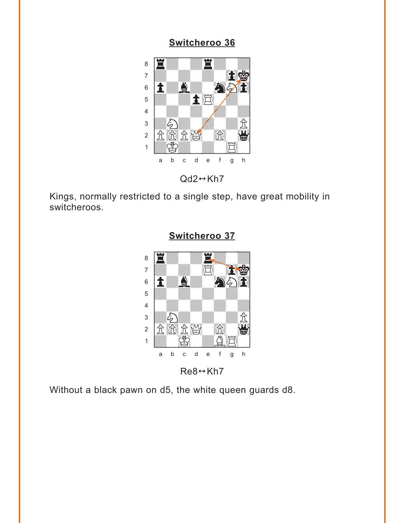<span id="page-9-0"></span>

 $Qd2 \leftrightarrow Kh7$ 

Kings, normally restricted to a single step, have great mobility in switcheroos.



**[Switcheroo 37](#page-4-0)**

 $Re8 \leftrightarrow Kh7$ 

Without a black pawn on d5, the white queen guards d8.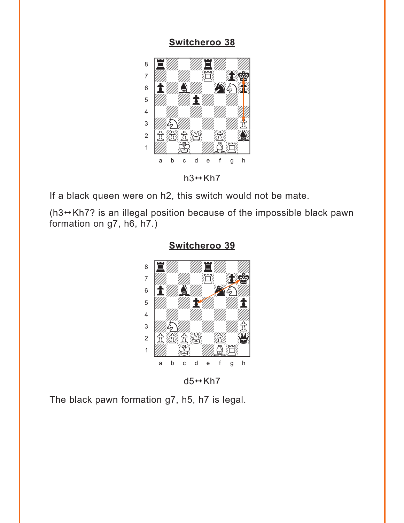<span id="page-10-0"></span>

 $h3 \leftrightarrow Kh7$ 

If a black queen were on h2, this switch would not be mate.

( $h3 \leftrightarrow Kh7$ ? is an illegal position because of the impossible black pawn formation on g7, h6, h7.)



### **[Switcheroo 39](#page-5-0)**

 $d5 \leftrightarrow Kh7$ 

The black pawn formation g7, h5, h7 is legal.